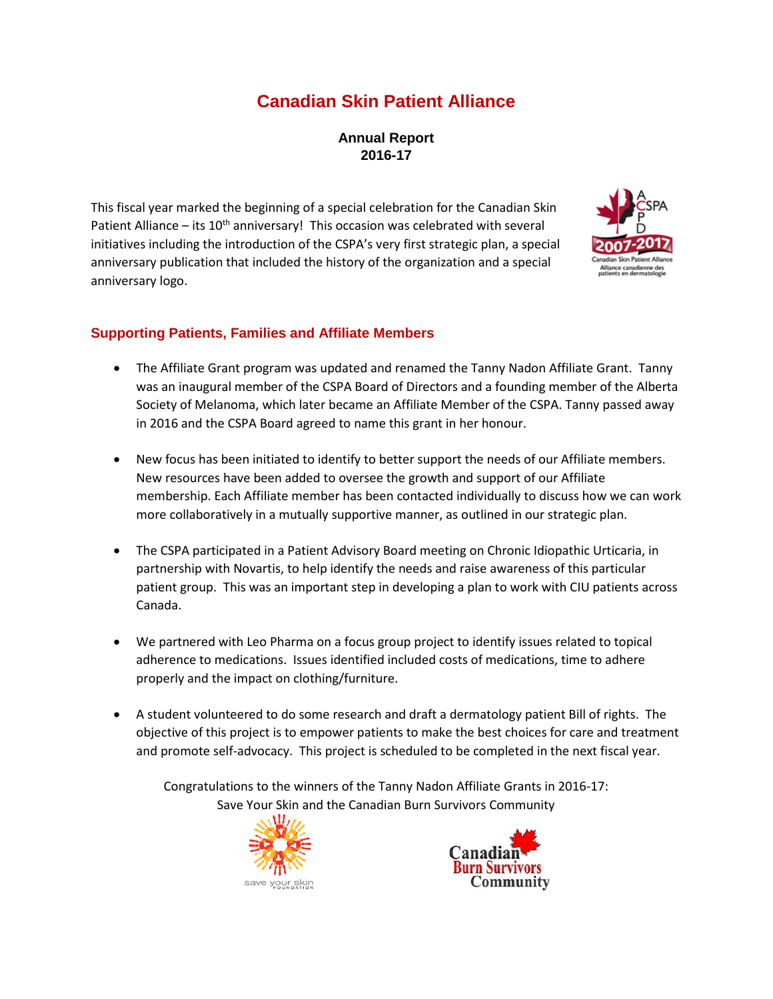# **Canadian Skin Patient Alliance**

**Annual Report 2016-17**

This fiscal year marked the beginning of a special celebration for the Canadian Skin Patient Alliance – its  $10^{th}$  anniversary! This occasion was celebrated with several initiatives including the introduction of the CSPA's very first strategic plan, a special anniversary publication that included the history of the organization and a special anniversary logo.



## **Supporting Patients, Families and Affiliate Members**

- The Affiliate Grant program was updated and renamed the Tanny Nadon Affiliate Grant. Tanny was an inaugural member of the CSPA Board of Directors and a founding member of the Alberta Society of Melanoma, which later became an Affiliate Member of the CSPA. Tanny passed away in 2016 and the CSPA Board agreed to name this grant in her honour.
- New focus has been initiated to identify to better support the needs of our Affiliate members. New resources have been added to oversee the growth and support of our Affiliate membership. Each Affiliate member has been contacted individually to discuss how we can work more collaboratively in a mutually supportive manner, as outlined in our strategic plan.
- The CSPA participated in a Patient Advisory Board meeting on Chronic Idiopathic Urticaria, in partnership with Novartis, to help identify the needs and raise awareness of this particular patient group. This was an important step in developing a plan to work with CIU patients across Canada.
- We partnered with Leo Pharma on a focus group project to identify issues related to topical adherence to medications. Issues identified included costs of medications, time to adhere properly and the impact on clothing/furniture.
- A student volunteered to do some research and draft a dermatology patient Bill of rights. The objective of this project is to empower patients to make the best choices for care and treatment and promote self-advocacy. This project is scheduled to be completed in the next fiscal year.

Congratulations to the winners of the Tanny Nadon Affiliate Grants in 2016-17: Save Your Skin and the Canadian Burn Survivors Community



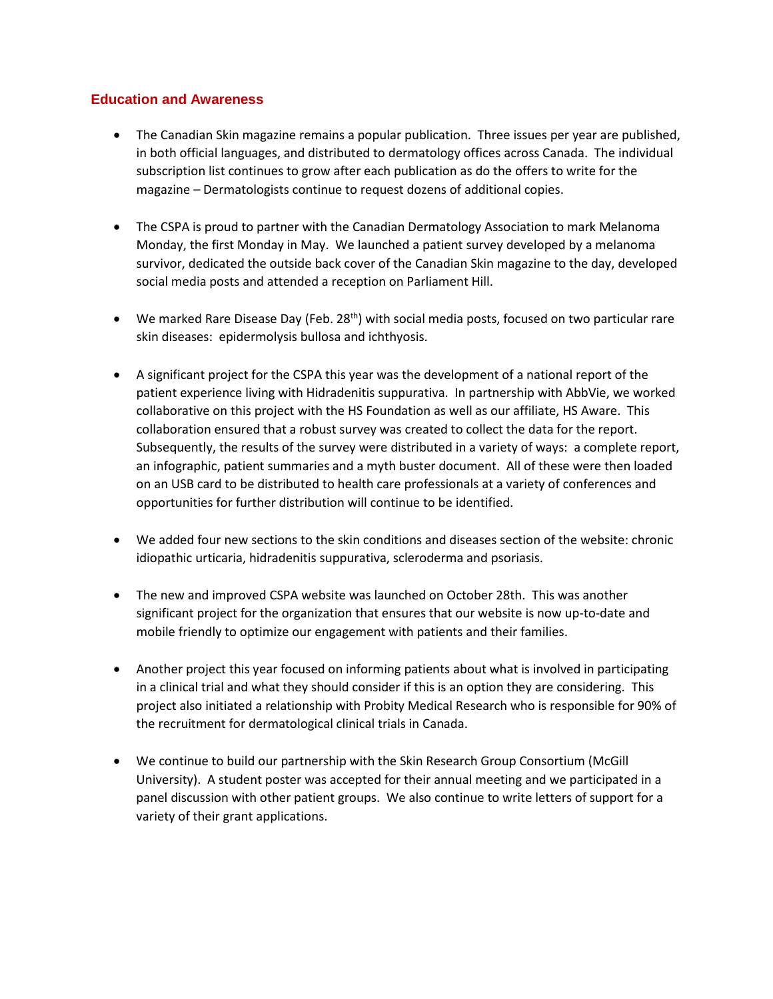#### **Education and Awareness**

- The Canadian Skin magazine remains a popular publication. Three issues per year are published, in both official languages, and distributed to dermatology offices across Canada. The individual subscription list continues to grow after each publication as do the offers to write for the magazine – Dermatologists continue to request dozens of additional copies.
- The CSPA is proud to partner with the Canadian Dermatology Association to mark Melanoma Monday, the first Monday in May. We launched a patient survey developed by a melanoma survivor, dedicated the outside back cover of the Canadian Skin magazine to the day, developed social media posts and attended a reception on Parliament Hill.
- We marked Rare Disease Day (Feb. 28<sup>th</sup>) with social media posts, focused on two particular rare skin diseases: epidermolysis bullosa and ichthyosis.
- A significant project for the CSPA this year was the development of a national report of the patient experience living with Hidradenitis suppurativa. In partnership with AbbVie, we worked collaborative on this project with the HS Foundation as well as our affiliate, HS Aware. This collaboration ensured that a robust survey was created to collect the data for the report. Subsequently, the results of the survey were distributed in a variety of ways: a complete report, an infographic, patient summaries and a myth buster document. All of these were then loaded on an USB card to be distributed to health care professionals at a variety of conferences and opportunities for further distribution will continue to be identified.
- We added four new sections to the skin conditions and diseases section of the website: chronic idiopathic urticaria, hidradenitis suppurativa, scleroderma and psoriasis.
- The new and improved CSPA website was launched on October 28th. This was another significant project for the organization that ensures that our website is now up-to-date and mobile friendly to optimize our engagement with patients and their families.
- Another project this year focused on informing patients about what is involved in participating in a clinical trial and what they should consider if this is an option they are considering. This project also initiated a relationship with Probity Medical Research who is responsible for 90% of the recruitment for dermatological clinical trials in Canada.
- We continue to build our partnership with the Skin Research Group Consortium (McGill University). A student poster was accepted for their annual meeting and we participated in a panel discussion with other patient groups. We also continue to write letters of support for a variety of their grant applications.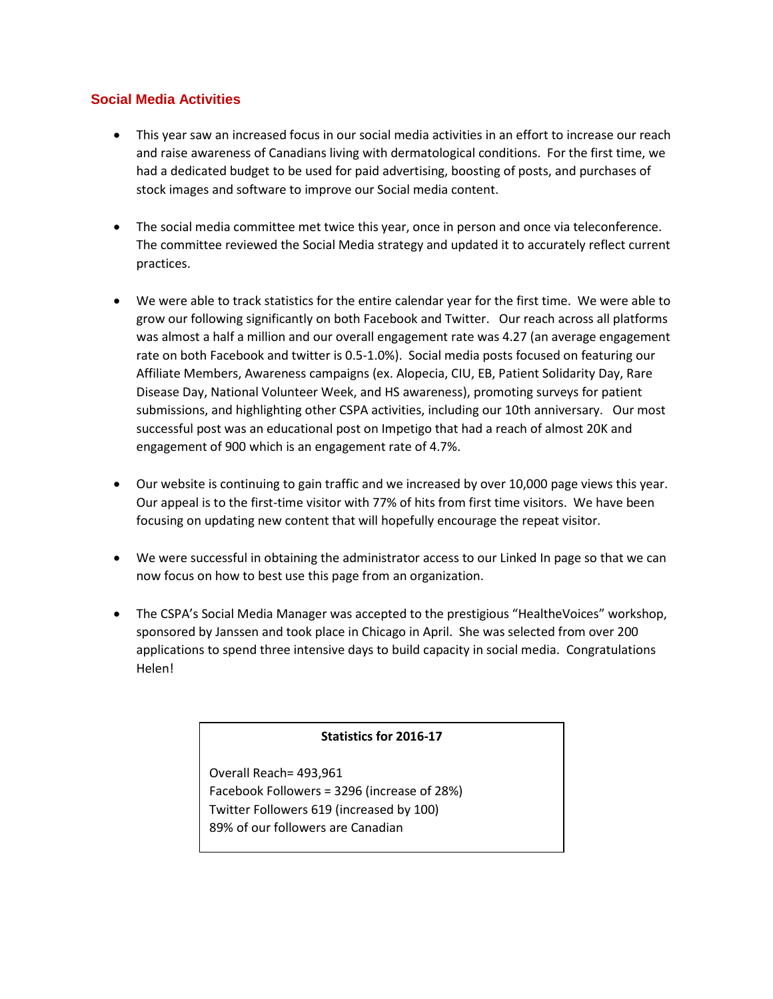### **Social Media Activities**

- This year saw an increased focus in our social media activities in an effort to increase our reach and raise awareness of Canadians living with dermatological conditions. For the first time, we had a dedicated budget to be used for paid advertising, boosting of posts, and purchases of stock images and software to improve our Social media content.
- The social media committee met twice this year, once in person and once via teleconference. The committee reviewed the Social Media strategy and updated it to accurately reflect current practices.
- We were able to track statistics for the entire calendar year for the first time. We were able to grow our following significantly on both Facebook and Twitter. Our reach across all platforms was almost a half a million and our overall engagement rate was 4.27 (an average engagement rate on both Facebook and twitter is 0.5-1.0%). Social media posts focused on featuring our Affiliate Members, Awareness campaigns (ex. Alopecia, CIU, EB, Patient Solidarity Day, Rare Disease Day, National Volunteer Week, and HS awareness), promoting surveys for patient submissions, and highlighting other CSPA activities, including our 10th anniversary. Our most successful post was an educational post on Impetigo that had a reach of almost 20K and engagement of 900 which is an engagement rate of 4.7%.
- Our website is continuing to gain traffic and we increased by over 10,000 page views this year. Our appeal is to the first-time visitor with 77% of hits from first time visitors. We have been focusing on updating new content that will hopefully encourage the repeat visitor.
- We were successful in obtaining the administrator access to our Linked In page so that we can now focus on how to best use this page from an organization.
- The CSPA's Social Media Manager was accepted to the prestigious "HealtheVoices" workshop, sponsored by Janssen and took place in Chicago in April. She was selected from over 200 applications to spend three intensive days to build capacity in social media. Congratulations Helen!

### **Statistics for 2016-17**

Overall Reach= 493,961 Facebook Followers = 3296 (increase of 28%) Twitter Followers 619 (increased by 100) 89% of our followers are Canadian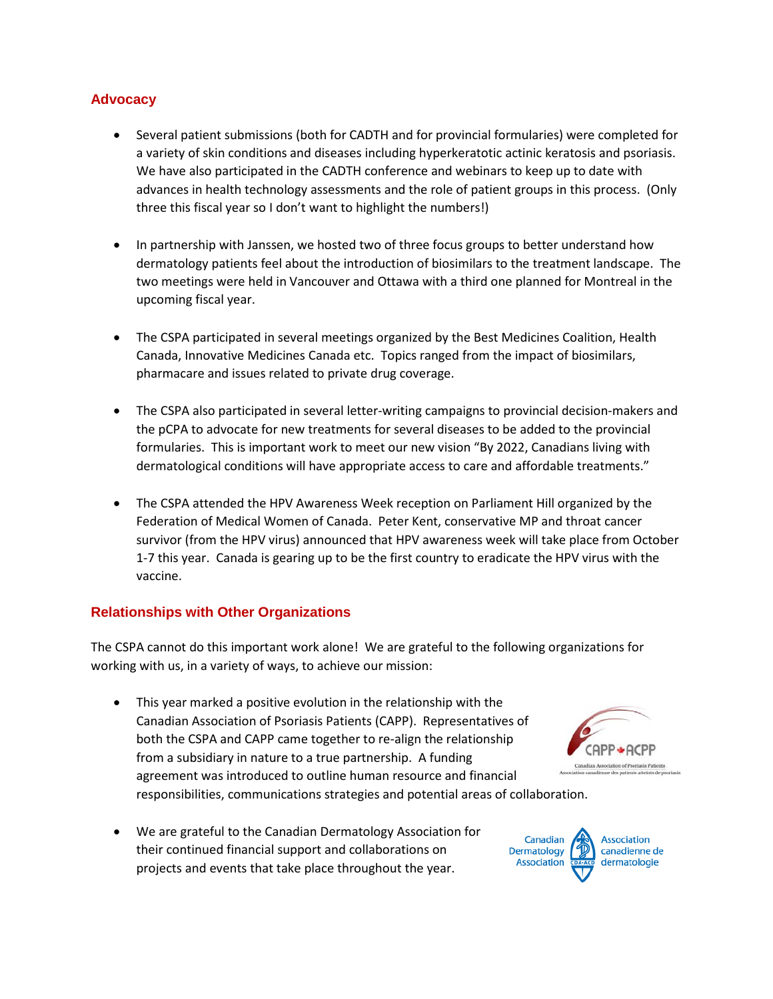## **Advocacy**

- Several patient submissions (both for CADTH and for provincial formularies) were completed for a variety of skin conditions and diseases including hyperkeratotic actinic keratosis and psoriasis. We have also participated in the CADTH conference and webinars to keep up to date with advances in health technology assessments and the role of patient groups in this process. (Only three this fiscal year so I don't want to highlight the numbers!)
- In partnership with Janssen, we hosted two of three focus groups to better understand how dermatology patients feel about the introduction of biosimilars to the treatment landscape. The two meetings were held in Vancouver and Ottawa with a third one planned for Montreal in the upcoming fiscal year.
- The CSPA participated in several meetings organized by the Best Medicines Coalition, Health Canada, Innovative Medicines Canada etc. Topics ranged from the impact of biosimilars, pharmacare and issues related to private drug coverage.
- The CSPA also participated in several letter-writing campaigns to provincial decision-makers and the pCPA to advocate for new treatments for several diseases to be added to the provincial formularies. This is important work to meet our new vision "By 2022, Canadians living with dermatological conditions will have appropriate access to care and affordable treatments."
- The CSPA attended the HPV Awareness Week reception on Parliament Hill organized by the Federation of Medical Women of Canada. Peter Kent, conservative MP and throat cancer survivor (from the HPV virus) announced that HPV awareness week will take place from October 1-7 this year. Canada is gearing up to be the first country to eradicate the HPV virus with the vaccine.

### **Relationships with Other Organizations**

The CSPA cannot do this important work alone! We are grateful to the following organizations for working with us, in a variety of ways, to achieve our mission:

- This year marked a positive evolution in the relationship with the Canadian Association of Psoriasis Patients (CAPP). Representatives of both the CSPA and CAPP came together to re-align the relationship from a subsidiary in nature to a true partnership. A funding agreement was introduced to outline human resource and financial responsibilities, communications strategies and potential areas of collaboration.
- We are grateful to the Canadian Dermatology Association for their continued financial support and collaborations on projects and events that take place throughout the year.